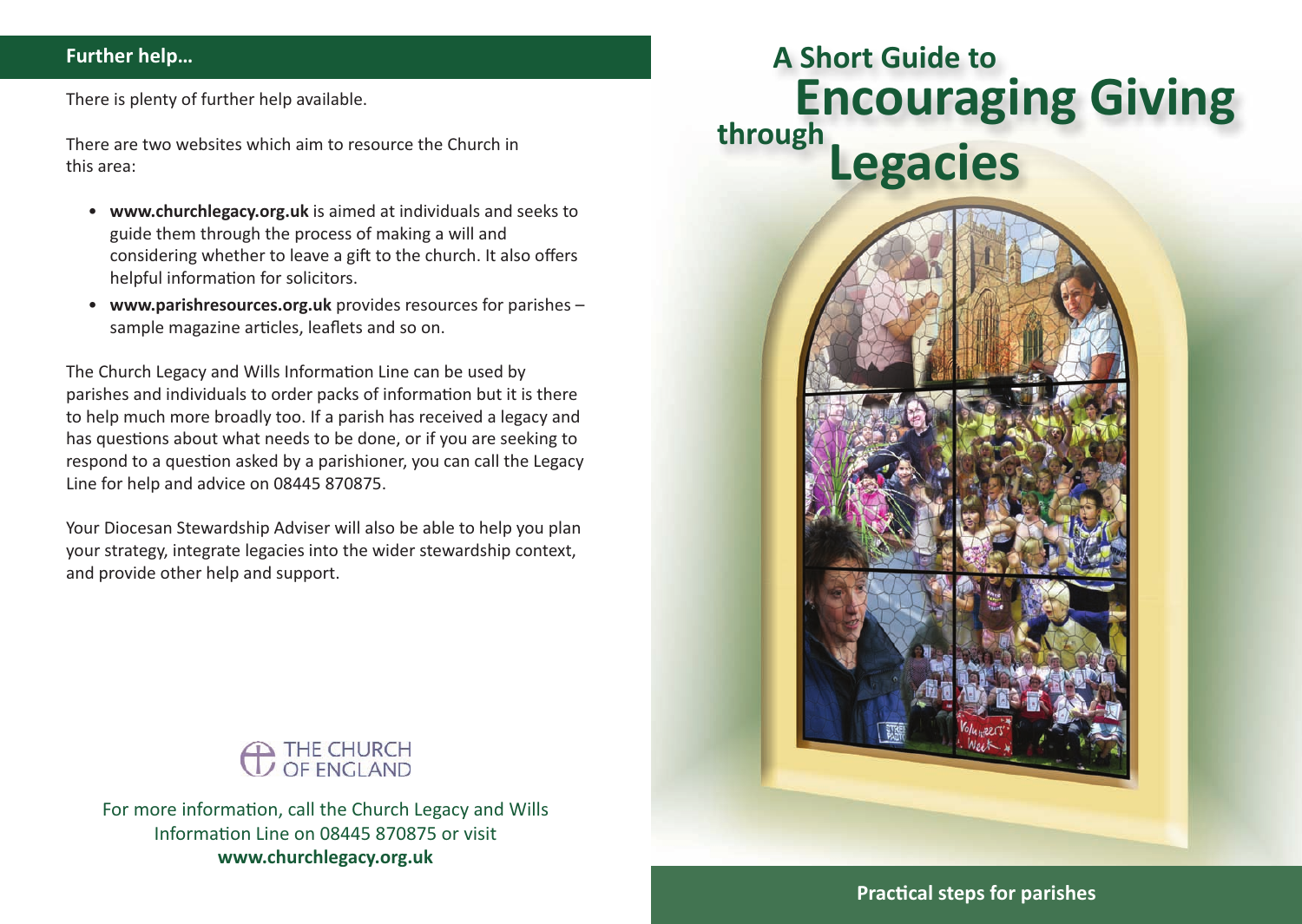#### **Further help…**

There is plenty of further help available.

There are two websites which aim to resource the Church in this area:

- **www.churchlegacy.org.uk** is aimed at individuals and seeks to guide them through the process of making a will and considering whether to leave a gift to the church. It also offers helpful information for solicitors.
- **www.parishresources.org.uk** provides resources for parishes sample magazine articles, leaflets and so on.

The Church Legacy and Wills Information Line can be used by parishes and individuals to order packs of information but it is there to help much more broadly too. If a parish has received a legacy and has questions about what needs to be done, or if you are seeking to respond to a question asked by a parishioner, you can call the Legacy Line for help and advice on 08445 870875.

Your Diocesan Stewardship Adviser will also be able to help you plan your strategy, integrate legacies into the wider stewardship context, and provide other help and support.



For more information, call the Church Legacy and Wills Information Line on 08445 870875 or visit **www.churchlegacy.org.uk**





**Praccal steps for parishes**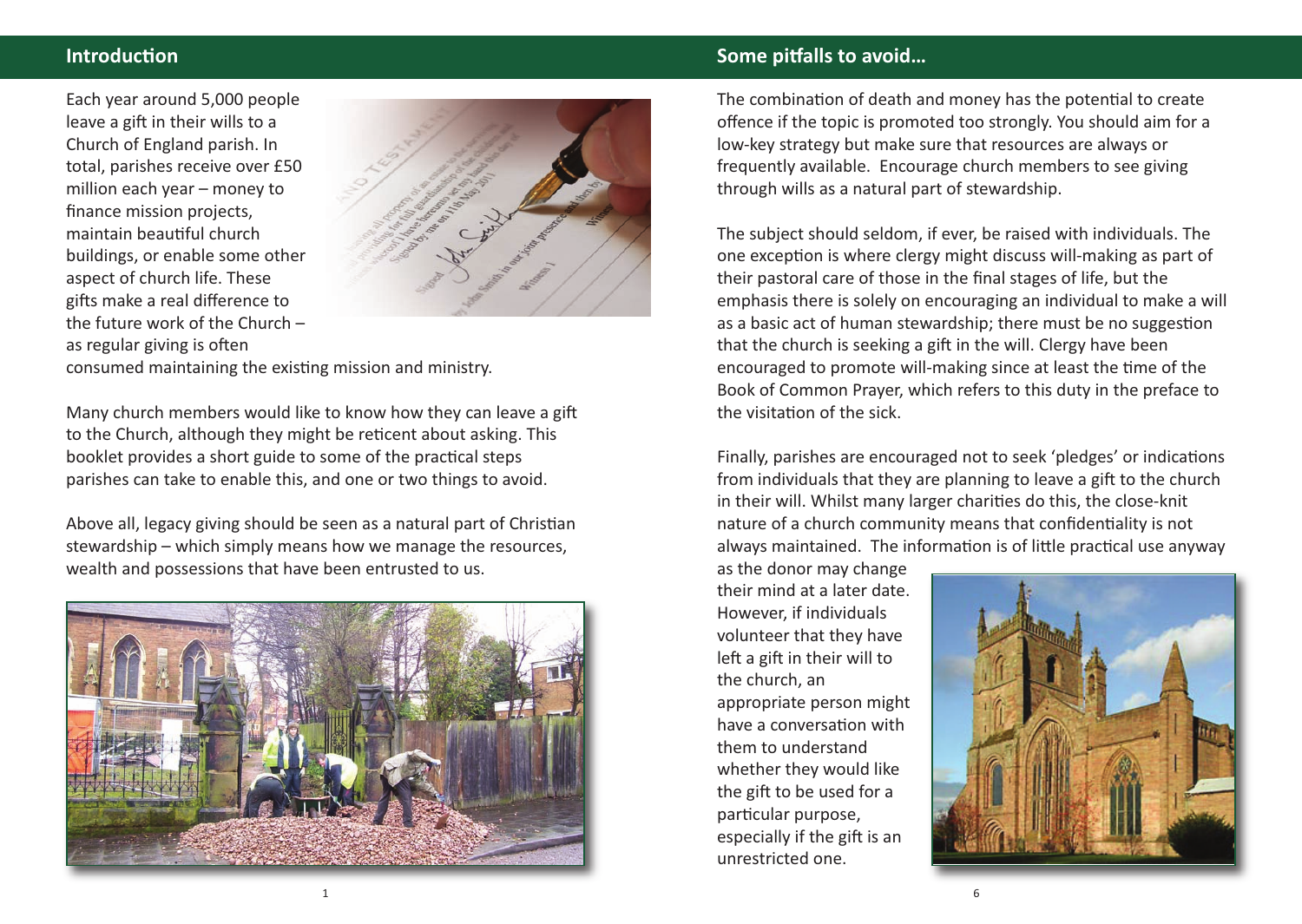### **Introduction**

Each year around 5,000 people leave a gift in their wills to a Church of England parish. In total, parishes receive over £50 million each year – money to finance mission projects, maintain beautiful church buildings, or enable some other aspect of church life. These gifts make a real difference to the future work of the Church – as regular giving is often



consumed maintaining the existing mission and ministry.

Many church members would like to know how they can leave a gift to the Church, although they might be reticent about asking. This booklet provides a short guide to some of the practical steps parishes can take to enable this, and one or two things to avoid.

Above all, legacy giving should be seen as a natural part of Christian stewardship – which simply means how we manage the resources, wealth and possessions that have been entrusted to us.



#### **Some pitfalls to avoid...**

The combination of death and money has the potential to create offence if the topic is promoted too strongly. You should aim for a low-key strategy but make sure that resources are always or frequently available. Encourage church members to see giving through wills as a natural part of stewardship.

The subject should seldom, if ever, be raised with individuals. The one exception is where clergy might discuss will-making as part of their pastoral care of those in the final stages of life, but the emphasis there is solely on encouraging an individual to make a will as a basic act of human stewardship; there must be no suggestion that the church is seeking a gift in the will. Clergy have been encouraged to promote will-making since at least the time of the Book of Common Prayer, which refers to this duty in the preface to the visitation of the sick.

Finally, parishes are encouraged not to seek 'pledges' or indications from individuals that they are planning to leave a gift to the church in their will. Whilst many larger charities do this, the close-knit nature of a church community means that confidentiality is not always maintained. The information is of little practical use anyway

as the donor may change their mind at a later date. However, if individuals volunteer that they have left a gift in their will to the church, an appropriate person might have a conversation with them to understand whether they would like the gift to be used for a particular purpose, especially if the gift is an unrestricted one.

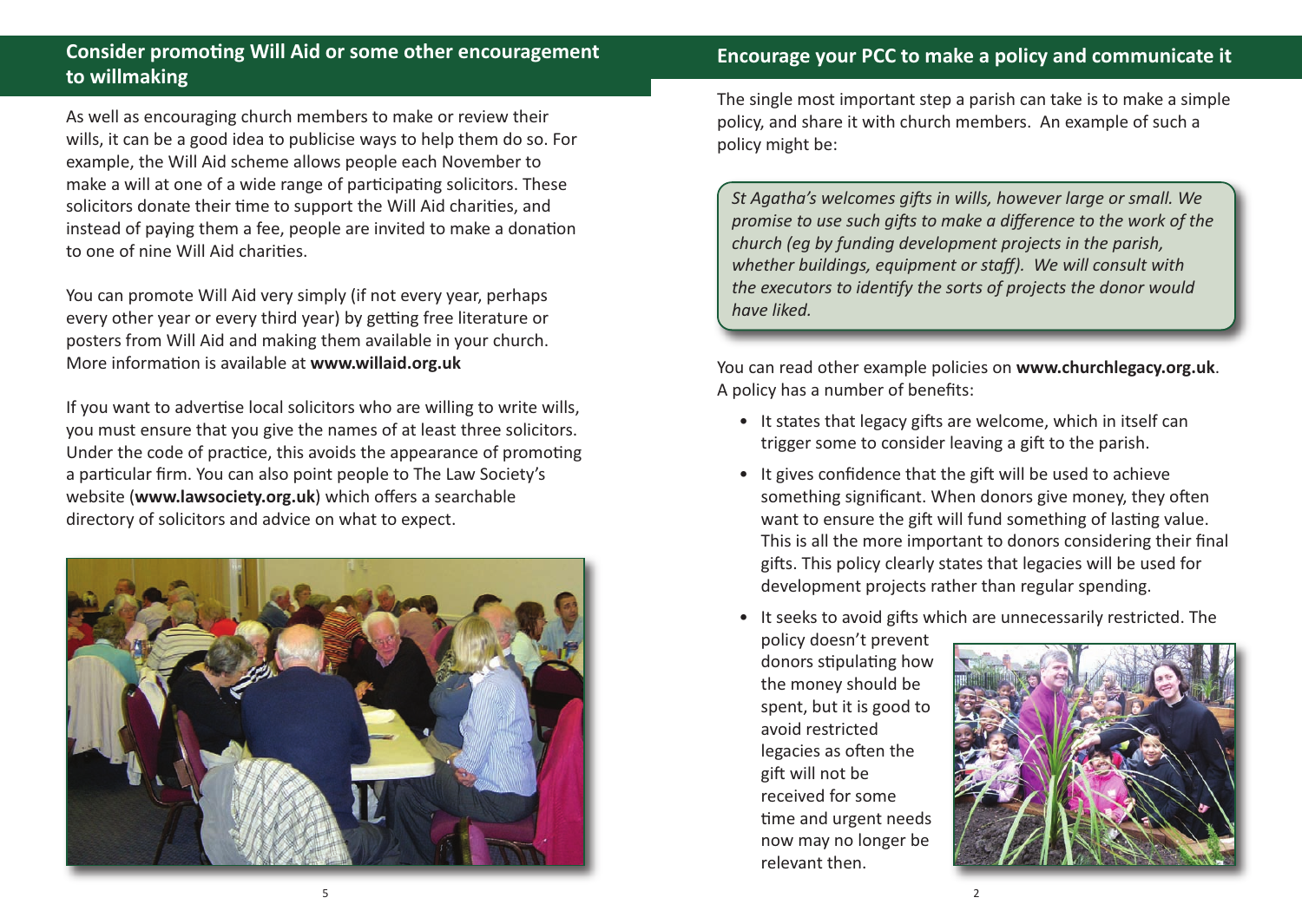## **Consider promong Will Aid or some other encouragement to willmaking**

As well as encouraging church members to make or review their wills, it can be a good idea to publicise ways to help them do so. For example, the Will Aid scheme allows people each November to make a will at one of a wide range of participating solicitors. These solicitors donate their time to support the Will Aid charities, and instead of paying them a fee, people are invited to make a donation to one of nine Will Aid charities.

You can promote Will Aid very simply (if not every year, perhaps every other year or every third year) by getting free literature or posters from Will Aid and making them available in your church. More information is available at **www.willaid.org.uk** 

If you want to advertise local solicitors who are willing to write wills, you must ensure that you give the names of at least three solicitors. Under the code of practice, this avoids the appearance of promoting a particular firm. You can also point people to The Law Society's website (**www.lawsociety.org.uk**) which offers a searchable directory of solicitors and advice on what to expect.



The single most important step a parish can take is to make a simple policy, and share it with church members. An example of such a policy might be:

*St Agatha's welcomes gifts in wills, however large or small. We promise to use such gis to make a difference to the work of the church (eg by funding development projects in the parish, whether buildings, equipment or staff). We will consult with the executors to idenfy the sorts of projects the donor would have liked.*

You can read other example policies on **www.churchlegacy.org.uk**. A policy has a number of benefits:

- It states that legacy gifts are welcome, which in itself can trigger some to consider leaving a gift to the parish.
- It gives confidence that the gift will be used to achieve something significant. When donors give money, they often want to ensure the gift will fund something of lasting value. This is all the more important to donors considering their final gifts. This policy clearly states that legacies will be used for development projects rather than regular spending.
- It seeks to avoid gifts which are unnecessarily restricted. The

policy doesn't prevent donors stipulating how the money should be spent, but it is good to avoid restricted legacies as often the gift will not be received for some time and urgent needs now may no longer be relevant then.